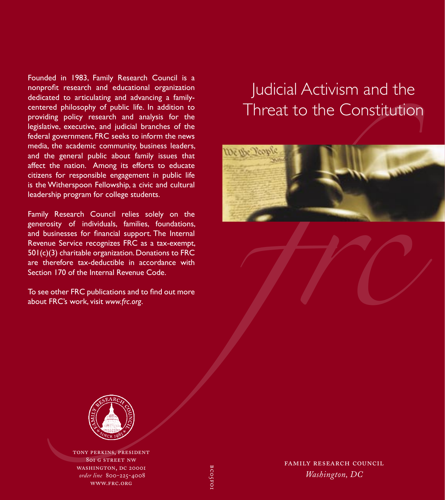Founded in 1983, Family Research Council is a nonprofit research and educational organization dedicated to articulating and advancing a familycentered philosophy of public life. In addition to providing policy research and analysis for the legislative, executive, and judicial branches of the federal government, FRC seeks to inform the news media, the academic community, business leaders, and the general public about family issues that affect the nation. Among its efforts to educate citizens for responsible engagement in public life is the Witherspoon Fellowship, a civic and cultural leadership program for college students.

Family Research Council relies solely on the generosity of individuals, families, foundations, and businesses for financial support. The Internal Revenue Service recognizes FRC as a tax-exempt, 501(c)(3) charitable organization. Donations to FRC are therefore tax-deductible in accordance with Section 170 of the Internal Revenue Code. 501(c)(3) charitable organization. Donations to FRC<br>are therefore tax-deductible in accordance with<br>Section 170 of the Internal Revenue Code.<br>To see other FRC publications and to find out more<br>about FRC's work, visit *www.* 

To see other FRC publications and to find out more

# Judicial Activism and the Threat to the Constitution





TONY PERKINS, PRESIDENT **801 G STREET NW** WASHINGTON, DC 2000I *order line* 800-225-4008 WWW.FRC.ORG

FAMILY RESEARCH COUNCIL *Washington, DC*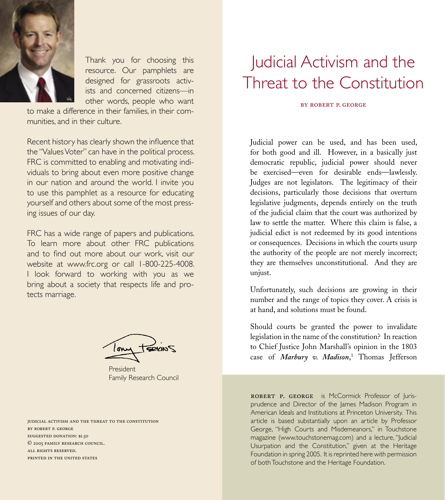

Thank you for choosing this resource. Our pamphlets are designed for grassroots activists and concerned citizens—in other words, people who want

to make a difference in their families, in their communities, and in their culture.

Recent history has clearly shown the influence that the "Values Voter" can have in the political process. FRC is committed to enabling and motivating individuals to bring about even more positive change in our nation and around the world. I invite you to use this pamphlet as a resource for educating yourself and others about some of the most pressing issues of our day.

FRC has a wide range of papers and publications. To learn more about other FRC publications and to find out more about our work, visit our website at www.frc.org or call 1-800-225-4008. I look forward to working with you as we bring about a society that respects life and protects marriage.

President Family Research Council

**IUDICIAL ACTIVISM AND THE THREAT TO THE CONSTITUTION** BY ROBERT P. GEORGE SUGGESTED DONATION: \$1.50 C 2005 FAMILY RESEARCH COUNCIL. ALL RIGHTS RESERVED. PRINTED IN THE UNITED STATES

## Judicial Activism and the Threat to the Constitution

#### by robert p. george

Judicial power can be used, and has been used, for both good and ill. However, in a basically just democratic republic, judicial power should never be exercised—even for desirable ends—lawlessly. Judges are not legislators. The legitimacy of their decisions, particularly those decisions that overturn legislative judgments, depends entirely on the truth of the judicial claim that the court was authorized by law to settle the matter. Where this claim is false, a judicial edict is not redeemed by its good intentions or consequences. Decisions in which the courts usurp the authority of the people are not merely incorrect; they are themselves unconstitutional. And they are unjust.

Unfortunately, such decisions are growing in their number and the range of topics they cover. A crisis is at hand, and solutions must be found.

Should courts be granted the power to invalidate legislation in the name of the constitution? In reaction to Chief Justice John Marshall's opinion in the 1803 case of *Marbury v. Madison*, 1 Thomas Jefferson

ROBERT P. GEORGE is McCormick Professor of Jurisprudence and Director of the James Madison Program in American Ideals and Institutions at Princeton University. This article is based substantially upon an article by Professor George, "High Courts and Misdemeanors," in Touchstone magazine (www.touchstonemag.com) and a lecture, "Judicial Usurpation and the Constitution," given at the Heritage Foundation in spring 2005. It is reprinted here with permission of both Touchstone and the Heritage Foundation.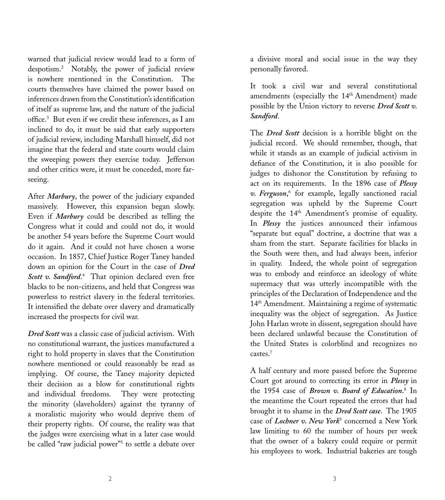warned that judicial review would lead to a form of despotism.2 Notably, the power of judicial review is nowhere mentioned in the Constitution. The courts themselves have claimed the power based on inferences drawn from the Constitution's identification of itself as supreme law, and the nature of the judicial office.3 But even if we credit these inferences, as I am inclined to do, it must be said that early supporters of judicial review, including Marshall himself, did not imagine that the federal and state courts would claim the sweeping powers they exercise today. Jefferson and other critics were, it must be conceded, more farseeing.

After *Marbury*, the power of the judiciary expanded massively. However, this expansion began slowly. Even if *Marbury* could be described as telling the Congress what it could and could not do, it would be another 54 years before the Supreme Court would do it again. And it could not have chosen a worse occasion. In 1857, Chief Justice Roger Taney handed down an opinion for the Court in the case of *Dred*  Scott v. Sandford.<sup>4</sup> That opinion declared even free blacks to be non-citizens, and held that Congress was powerless to restrict slavery in the federal territories. It intensified the debate over slavery and dramatically increased the prospects for civil war.

*Dred Scott* was a classic case of judicial activism. With no constitutional warrant, the justices manufactured a right to hold property in slaves that the Constitution nowhere mentioned or could reasonably be read as implying. Of course, the Taney majority depicted their decision as a blow for constitutional rights and individual freedoms. They were protecting the minority (slaveholders) against the tyranny of a moralistic majority who would deprive them of their property rights. Of course, the reality was that the judges were exercising what in a later case would be called "raw judicial power"5 to settle a debate over a divisive moral and social issue in the way they personally favored.

It took a civil war and several constitutional amendments (especially the 14<sup>th</sup> Amendment) made possible by the Union victory to reverse *Dred Scott v. Sandford*.

The *Dred Scott* decision is a horrible blight on the judicial record. We should remember, though, that while it stands as an example of judicial activism in defiance of the Constitution, it is also possible for judges to dishonor the Constitution by refusing to act on its requirements. In the 1896 case of *Plessy*  v. Ferguson,<sup>6</sup> for example, legally sanctioned racial segregation was upheld by the Supreme Court despite the 14<sup>th</sup> Amendment's promise of equality. In *Plessy* the justices announced their infamous "separate but equal" doctrine, a doctrine that was a sham from the start. Separate facilities for blacks in the South were then, and had always been, inferior in quality. Indeed, the whole point of segregation was to embody and reinforce an ideology of white supremacy that was utterly incompatible with the principles of the Declaration of Independence and the 14<sup>th</sup> Amendment. Maintaining a regime of systematic inequality was the object of segregation. As Justice John Harlan wrote in dissent, segregation should have been declared unlawful because the Constitution of the United States is colorblind and recognizes no castes.7

A half century and more passed before the Supreme Court got around to correcting its error in *Plessy* in the 1954 case of *Brown v. Board of Education.*<sup>8</sup> In the meantime the Court repeated the errors that had brought it to shame in the *Dred Scott case*. The 1905 case of *Lochner v. New York*<sup>9</sup> concerned a New York law limiting to 60 the number of hours per week that the owner of a bakery could require or permit his employees to work. Industrial bakeries are tough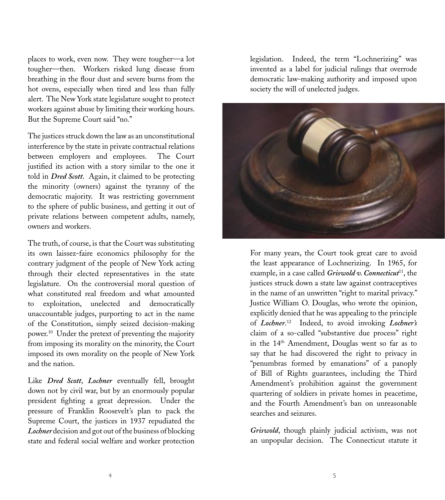places to work, even now. They were tougher—a lot tougher—then. Workers risked lung disease from breathing in the flour dust and severe burns from the hot ovens, especially when tired and less than fully alert. The New York state legislature sought to protect workers against abuse by limiting their working hours. But the Supreme Court said "no."

The justices struck down the law as an unconstitutional interference by the state in private contractual relations between employers and employees. The Court justified its action with a story similar to the one it told in *Dred Scott*. Again, it claimed to be protecting the minority (owners) against the tyranny of the democratic majority. It was restricting government to the sphere of public business, and getting it out of private relations between competent adults, namely, owners and workers.

The truth, of course, is that the Court was substituting its own laissez-faire economics philosophy for the contrary judgment of the people of New York acting through their elected representatives in the state legislature. On the controversial moral question of what constituted real freedom and what amounted to exploitation, unelected and democratically unaccountable judges, purporting to act in the name of the Constitution, simply seized decision-making power.<sup>10</sup> Under the pretext of preventing the majority from imposing its morality on the minority, the Court imposed its own morality on the people of New York and the nation.

Like *Dred Scott*, *Lochner* eventually fell, brought down not by civil war, but by an enormously popular president fighting a great depression. Under the pressure of Franklin Roosevelt's plan to pack the Supreme Court, the justices in 1937 repudiated the *Lochner* decision and got out of the business of blocking state and federal social welfare and worker protection

legislation. Indeed, the term "Lochnerizing" was invented as a label for judicial rulings that overrode democratic law-making authority and imposed upon society the will of unelected judges.



For many years, the Court took great care to avoid the least appearance of Lochnerizing. In 1965, for example, in a case called *Griswold v. Connecticut*<sup>11</sup>, the justices struck down a state law against contraceptives in the name of an unwritten "right to marital privacy." Justice William O. Douglas, who wrote the opinion, explicitly denied that he was appealing to the principle of *Lochner*. 12 Indeed, to avoid invoking *Lochner's*  claim of a so-called "substantive due process" right in the 14th Amendment, Douglas went so far as to say that he had discovered the right to privacy in "penumbras formed by emanations" of a panoply of Bill of Rights guarantees, including the Third Amendment's prohibition against the government quartering of soldiers in private homes in peacetime, and the Fourth Amendment's ban on unreasonable searches and seizures.

*Griswold*, though plainly judicial activism, was not an unpopular decision. The Connecticut statute it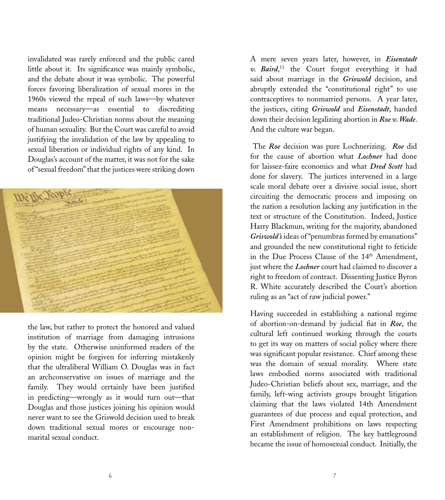invalidated was rarely enforced and the public cared little about it. Its significance was mainly symbolic, and the debate about it was symbolic. The powerful forces favoring liberalization of sexual mores in the 1960s viewed the repeal of such laws—by whatever means necessary—as essential to discrediting traditional Judeo-Christian norms about the meaning of human sexuality. But the Court was careful to avoid justifying the invalidation of the law by appealing to sexual liberation or individual rights of any kind. In Douglas's account of the matter, it was not for the sake of "sexual freedom" that the justices were striking down



the law, but rather to protect the honored and valued institution of marriage from damaging intrusions by the state. Otherwise uninformed readers of the opinion might be forgiven for inferring mistakenly that the ultraliberal William O. Douglas was in fact an archconservative on issues of marriage and the family. They would certainly have been justified in predicting—wrongly as it would turn out—that Douglas and those justices joining his opinion would never want to see the Griswold decision used to break down traditional sexual mores or encourage nonmarital sexual conduct.

A mere seven years later, however, in *Eisenstadt v. Baird*, 13 the Court forgot everything it had said about marriage in the *Griswold* decision, and abruptly extended the "constitutional right" to use contraceptives to nonmarried persons. A year later, the justices, citing *Griswold* and *Eisenstadt*, handed down their decision legalizing abortion in *Roe v. Wade*. And the culture war began.

 The *Roe* decision was pure Lochnerizing. *Roe* did for the cause of abortion what *Lochner* had done for laissez-faire economics and what *Dred Scott* had done for slavery. The justices intervened in a large scale moral debate over a divisive social issue, short circuiting the democratic process and imposing on the nation a resolution lacking any justification in the text or structure of the Constitution. Indeed, Justice Harry Blackmun, writing for the majority, abandoned *Griswold's* ideas of "penumbras formed by emanations" and grounded the new constitutional right to feticide in the Due Process Clause of the 14<sup>th</sup> Amendment, just where the *Lochner* court had claimed to discover a right to freedom of contract. Dissenting Justice Byron R. White accurately described the Court's abortion ruling as an "act of raw judicial power."

Having succeeded in establishing a national regime of abortion-on-demand by judicial fiat in *Roe*, the cultural left continued working through the courts to get its way on matters of social policy where there was significant popular resistance. Chief among these was the domain of sexual morality. Where state laws embodied norms associated with traditional Judeo-Christian beliefs about sex, marriage, and the family, left-wing activists groups brought litigation claiming that the laws violated 14th Amendment guarantees of due process and equal protection, and First Amendment prohibitions on laws respecting an establishment of religion. The key battleground became the issue of homosexual conduct. Initially, the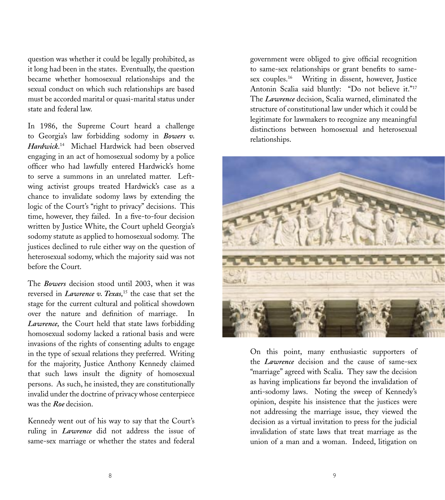question was whether it could be legally prohibited, as it long had been in the states. Eventually, the question became whether homosexual relationships and the sexual conduct on which such relationships are based must be accorded marital or quasi-marital status under state and federal law.

In 1986, the Supreme Court heard a challenge to Georgia's law forbidding sodomy in *Bowers v. Hardwick*. 14 Michael Hardwick had been observed engaging in an act of homosexual sodomy by a police officer who had lawfully entered Hardwick's home to serve a summons in an unrelated matter. Leftwing activist groups treated Hardwick's case as a chance to invalidate sodomy laws by extending the logic of the Court's "right to privacy" decisions. This time, however, they failed. In a five-to-four decision written by Justice White, the Court upheld Georgia's sodomy statute as applied to homosexual sodomy. The justices declined to rule either way on the question of heterosexual sodomy, which the majority said was not before the Court.

The *Bowers* decision stood until 2003, when it was reversed in *Lawrence v. Texas,*15 the case that set the stage for the current cultural and political showdown over the nature and definition of marriage. In *Lawrence,* the Court held that state laws forbidding homosexual sodomy lacked a rational basis and were invasions of the rights of consenting adults to engage in the type of sexual relations they preferred. Writing for the majority, Justice Anthony Kennedy claimed that such laws insult the dignity of homosexual persons. As such, he insisted, they are constitutionally invalid under the doctrine of privacy whose centerpiece was the *Roe* decision.

Kennedy went out of his way to say that the Court's ruling in *Lawrence* did not address the issue of same-sex marriage or whether the states and federal

government were obliged to give official recognition to same-sex relationships or grant benefits to samesex couples.16 Writing in dissent, however, Justice Antonin Scalia said bluntly: "Do not believe it."<sup>17</sup> The *Lawrence* decision, Scalia warned, eliminated the structure of constitutional law under which it could be legitimate for lawmakers to recognize any meaningful distinctions between homosexual and heterosexual relationships.



On this point, many enthusiastic supporters of the *Lawrence* decision and the cause of same-sex "marriage" agreed with Scalia. They saw the decision as having implications far beyond the invalidation of anti-sodomy laws. Noting the sweep of Kennedy's opinion, despite his insistence that the justices were not addressing the marriage issue, they viewed the decision as a virtual invitation to press for the judicial invalidation of state laws that treat marriage as the union of a man and a woman. Indeed, litigation on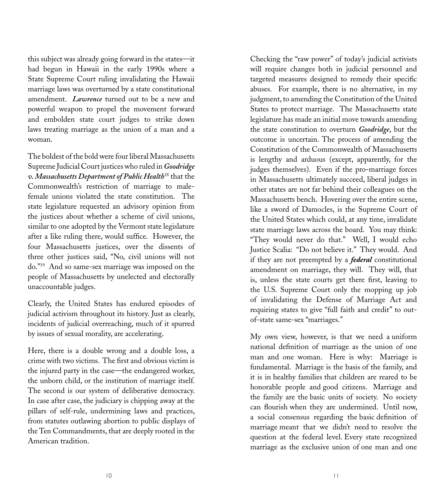this subject was already going forward in the states—it had begun in Hawaii in the early 1990s where a State Supreme Court ruling invalidating the Hawaii marriage laws was overturned by a state constitutional amendment. *Lawrence* turned out to be a new and powerful weapon to propel the movement forward and embolden state court judges to strike down laws treating marriage as the union of a man and a woman.

The boldest of the bold were four liberal Massachusetts Supreme Judicial Court justices who ruled in *Goodridge v. Massachusetts Department of Public Health*18 that the Commonwealth's restriction of marriage to malefemale unions violated the state constitution. The state legislature requested an advisory opinion from the justices about whether a scheme of civil unions, similar to one adopted by the Vermont state legislature after a like ruling there, would suffice. However, the four Massachusetts justices, over the dissents of three other justices said, "No, civil unions will not do."19 And so same-sex marriage was imposed on the people of Massachusetts by unelected and electorally unaccountable judges.

Clearly, the United States has endured episodes of judicial activism throughout its history. Just as clearly, incidents of judicial overreaching, much of it spurred by issues of sexual morality, are accelerating.

Here, there is a double wrong and a double loss, a crime with two victims. The first and obvious victim is the injured party in the case—the endangered worker, the unborn child, or the institution of marriage itself. The second is our system of deliberative democracy. In case after case, the judiciary is chipping away at the pillars of self-rule, undermining laws and practices, from statutes outlawing abortion to public displays of the Ten Commandments, that are deeply rooted in the American tradition.

Checking the "raw power" of today's judicial activists will require changes both in judicial personnel and targeted measures designed to remedy their specific abuses. For example, there is no alternative, in my judgment, to amending the Constitution of the United States to protect marriage. The Massachusetts state legislature has made an initial move towards amending the state constitution to overturn *Goodridge*, but the outcome is uncertain. The process of amending the Constitution of the Commonwealth of Massachusetts is lengthy and arduous (except, apparently, for the judges themselves). Even if the pro-marriage forces in Massachusetts ultimately succeed, liberal judges in other states are not far behind their colleagues on the Massachusetts bench. Hovering over the entire scene, like a sword of Damocles, is the Supreme Court of the United States which could, at any time, invalidate state marriage laws across the board. You may think: "They would never do that." Well, I would echo Justice Scalia: "Do not believe it." They would. And if they are not preempted by a *federal* constitutional amendment on marriage, they will. They will, that is, unless the state courts get there first, leaving to the U.S. Supreme Court only the mopping up job of invalidating the Defense of Marriage Act and requiring states to give "full faith and credit" to outof-state same-sex "marriages."

My own view, however, is that we need a uniform national definition of marriage as the union of one man and one woman. Here is why: Marriage is fundamental. Marriage is the basis of the family, and it is in healthy families that children are reared to be honorable people and good citizens. Marriage and the family are the basic units of society. No society can flourish when they are undermined. Until now, a social consensus regarding the basic definition of marriage meant that we didn't need to resolve the question at the federal level. Every state recognized marriage as the exclusive union of one man and one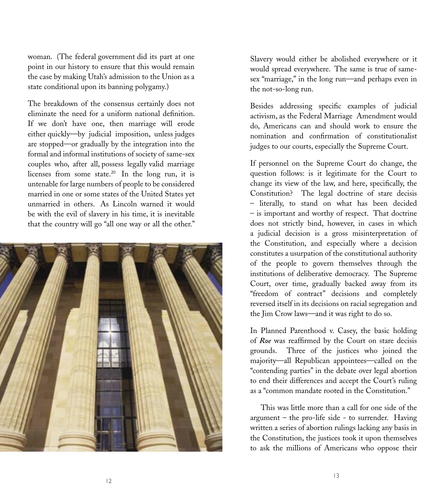woman. (The federal government did its part at one point in our history to ensure that this would remain the case by making Utah's admission to the Union as a state conditional upon its banning polygamy.)

The breakdown of the consensus certainly does not eliminate the need for a uniform national definition. If we don't have one, then marriage will erode either quickly—by judicial imposition, unless judges are stopped—or gradually by the integration into the formal and informal institutions of society of same-sex couples who, after all, possess legally valid marriage licenses from some state.<sup>20</sup> In the long run, it is untenable for large numbers of people to be considered married in one or some states of the United States yet unmarried in others. As Lincoln warned it would be with the evil of slavery in his time, it is inevitable that the country will go "all one way or all the other."



Slavery would either be abolished everywhere or it would spread everywhere. The same is true of samesex "marriage," in the long run—and perhaps even in the not-so-long run.

Besides addressing specific examples of judicial activism, as the Federal Marriage Amendment would do, Americans can and should work to ensure the nomination and confirmation of constitutionalist judges to our courts, especially the Supreme Court.

If personnel on the Supreme Court do change, the question follows: is it legitimate for the Court to change its view of the law, and here, specifically, the Constitution? The legal doctrine of stare decisis – literally, to stand on what has been decided – is important and worthy of respect. That doctrine does not strictly bind, however, in cases in which a judicial decision is a gross misinterpretation of the Constitution, and especially where a decision constitutes a usurpation of the constitutional authority of the people to govern themselves through the institutions of deliberative democracy. The Supreme Court, over time, gradually backed away from its "freedom of contract" decisions and completely reversed itself in its decisions on racial segregation and the Jim Crow laws—and it was right to do so.

In Planned Parenthood v. Casey, the basic holding of *Roe* was reaffirmed by the Court on stare decisis grounds. Three of the justices who joined the majority—all Republican appointees—called on the "contending parties" in the debate over legal abortion to end their differences and accept the Court's ruling as a "common mandate rooted in the Constitution."

 This was little more than a call for one side of the argument – the pro-life side - to surrender. Having written a series of abortion rulings lacking any basis in the Constitution, the justices took it upon themselves to ask the millions of Americans who oppose their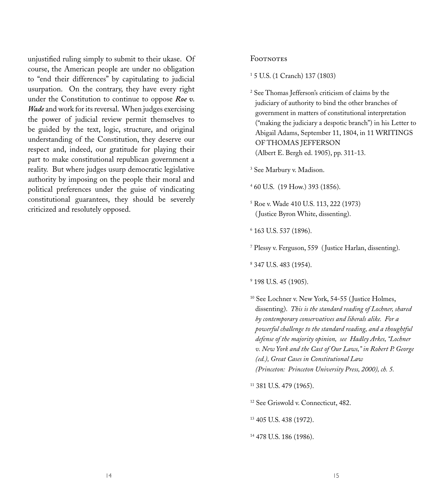unjustified ruling simply to submit to their ukase. Of course, the American people are under no obligation to "end their differences" by capitulating to judicial usurpation. On the contrary, they have every right under the Constitution to continue to oppose *Roe v. Wade* and work for its reversal. When judges exercising the power of judicial review permit themselves to be guided by the text, logic, structure, and original understanding of the Constitution, they deserve our respect and, indeed, our gratitude for playing their part to make constitutional republican government a reality. But where judges usurp democratic legislative authority by imposing on the people their moral and political preferences under the guise of vindicating constitutional guarantees, they should be severely criticized and resolutely opposed.

#### **FOOTNOTES**

1 5 U.S. (1 Cranch) 137 (1803)

2 See Thomas Jefferson's criticism of claims by the judiciary of authority to bind the other branches of government in matters of constitutional interpretation ("making the judiciary a despotic branch") in his Letter to Abigail Adams, September 11, 1804, in 11 WRITINGS OF THOMAS JEFFERSON (Albert E. Bergh ed. 1905), pp. 311-13.

3 See Marbury v. Madison.

4 60 U.S. (19 How.) 393 (1856).

- 5 Roe v. Wade 410 U.S. 113, 222 (1973) ( Justice Byron White, dissenting).
- 6 163 U.S. 537 (1896).

7 Plessy v. Ferguson, 559 ( Justice Harlan, dissenting).

8 347 U.S. 483 (1954).

9 198 U.S. 45 (1905).

<sup>10</sup> See Lochner v. New York, 54-55 (Justice Holmes, dissenting). *This is the standard reading of Lochner, shared by contemporary conservatives and liberals alike. For a powerful challenge to the standard reading, and a thoughtful defense of the majority opinion, see Hadley Arkes, "Lochner v. New York and the Cast of Our Laws," in Robert P. George (ed.), Great Cases in Constitutional Law (Princeton: Princeton University Press, 2000), ch. 5.*

11 381 U.S. 479 (1965).

- 12 See Griswold v. Connecticut, 482.
- 13 405 U.S. 438 (1972).
- 14 478 U.S. 186 (1986).